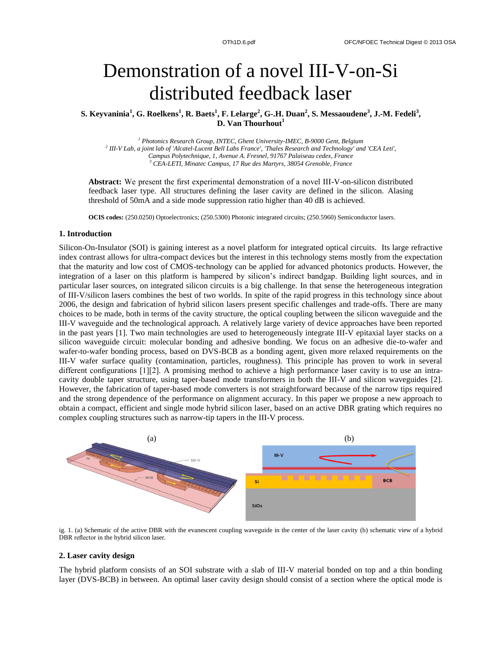# Demonstration of a novel III-V-on-Si distributed feedback laser

**S. Keyvaninia<sup>1</sup> , G. Roelkens<sup>1</sup> , R. Baets<sup>1</sup> , F. Lelarge<sup>2</sup> , G-.H. Duan<sup>2</sup> , S. Messaoudene<sup>3</sup> , J.-M. Fedeli<sup>3</sup> , D. Van Thourhout<sup>1</sup>**

 *Photonics Research Group, INTEC, Ghent University-IMEC, B-9000 Gent, Belgium III-V Lab, a joint lab of 'Alcatel-Lucent Bell Labs France', 'Thales Research and Technology' and 'CEA Leti', Campus Polytechnique, 1, Avenue A. Fresnel, 91767 Palaiseau cedex, France CEA-LETI, Minatec Campus, 17 Rue des Martyrs, 38054 Grenoble, France*

**Abstract:** We present the first experimental demonstration of a novel III-V-on-silicon distributed feedback laser type. All structures defining the laser cavity are defined in the silicon. Alasing threshold of 50mA and a side mode suppression ratio higher than 40 dB is achieved.

**OCIS codes:** (250.0250) Optoelectronics; (250.5300) Photonic integrated circuits; (250.5960) Semiconductor lasers.

# **1. Introduction**

Silicon-On-Insulator (SOI) is gaining interest as a novel platform for integrated optical circuits. Its large refractive index contrast allows for ultra-compact devices but the interest in this technology stems mostly from the expectation that the maturity and low cost of CMOS-technology can be applied for advanced photonics products. However, the integration of a laser on this platform is hampered by silicon's indirect bandgap. Building light sources, and in particular laser sources, on integrated silicon circuits is a big challenge. In that sense the heterogeneous integration of III-V/silicon lasers combines the best of two worlds. In spite of the rapid progress in this technology since about 2006, the design and fabrication of hybrid silicon lasers present specific challenges and trade-offs. There are many choices to be made, both in terms of the cavity structure, the optical coupling between the silicon waveguide and the III-V waveguide and the technological approach. A relatively large variety of device approaches have been reported in the past years [1]. Two main technologies are used to heterogeneously integrate III-V epitaxial layer stacks on a silicon waveguide circuit: molecular bonding and adhesive bonding. We focus on an adhesive die-to-wafer and wafer-to-wafer bonding process, based on DVS-BCB as a bonding agent, given more relaxed requirements on the III-V wafer surface quality (contamination, particles, roughness). This principle has proven to work in several different configurations [1][2]. A promising method to achieve a high performance laser cavity is to use an intracavity double taper structure, using taper-based mode transformers in both the III-V and silicon waveguides [2]. However, the fabrication of taper-based mode converters is not straightforward because of the narrow tips required and the strong dependence of the performance on alignment accuracy. In this paper we propose a new approach to obtain a compact, efficient and single mode hybrid silicon laser, based on an active DBR grating which requires no complex coupling structures such as narrow-tip tapers in the III-V process.



ig. 1. (a) Schematic of the active DBR with the evanescent coupling waveguide in the center of the laser cavity (b) schematic view of a hybrid DBR reflector in the hybrid silicon laser.

# **2. Laser cavity design**

The hybrid platform consists of an SOI substrate with a slab of III-V material bonded on top and a thin bonding layer (DVS-BCB) in between. An optimal laser cavity design should consist of a section where the optical mode is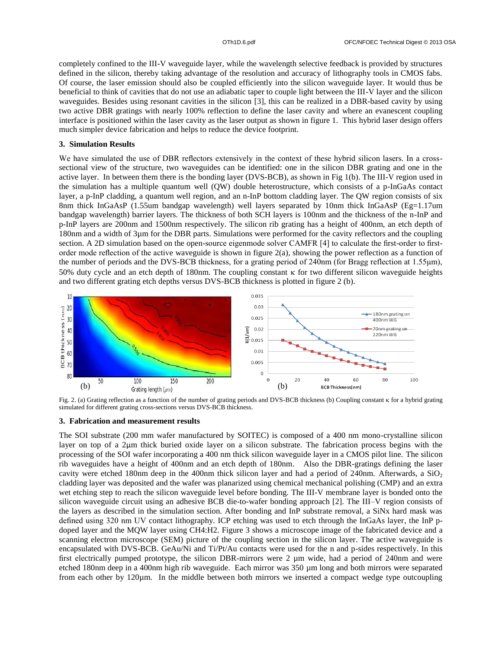completely confined to the III-V waveguide layer, while the wavelength selective feedback is provided by structures defined in the silicon, thereby taking advantage of the resolution and accuracy of lithography tools in CMOS fabs. Of course, the laser emission should also be coupled efficiently into the silicon waveguide layer. It would thus be beneficial to think of cavities that do not use an adiabatic taper to couple light between the III-V layer and the silicon waveguides. Besides using resonant cavities in the silicon [3], this can be realized in a DBR-based cavity by using two active DBR gratings with nearly 100% reflection to define the laser cavity and where an evanescent coupling interface is positioned within the laser cavity as the laser output as shown in figure 1. This hybrid laser design offers much simpler device fabrication and helps to reduce the device footprint.

### **3. Simulation Results**

We have simulated the use of DBR reflectors extensively in the context of these hybrid silicon lasers. In a crosssectional view of the structure, two waveguides can be identified: one in the silicon DBR grating and one in the active layer. In between them there is the bonding layer (DVS-BCB), as shown in Fig 1(b). The III-V region used in the simulation has a multiple quantum well (QW) double heterostructure, which consists of a p-InGaAs contact layer, a p-InP cladding, a quantum well region, and an n-InP bottom cladding layer. The QW region consists of six 8nm thick InGaAsP (1.55um bandgap wavelength) well layers separated by 10nm thick InGaAsP (Eg=1.17um bandgap wavelength) barrier layers. The thickness of both SCH layers is 100nm and the thickness of the n-InP and p-InP layers are 200nm and 1500nm respectively. The silicon rib grating has a height of 400nm, an etch depth of 180nm and a width of 3µm for the DBR parts. Simulations were performed for the cavity reflectors and the coupling section. A 2D simulation based on the open-source eigenmode solver CAMFR [4] to calculate the first-order to firstorder mode reflection of the active waveguide is shown in figure 2(a), showing the power reflection as a function of the number of periods and the DVS-BCB thickness, for a grating period of 240nm (for Bragg reflection at 1.55μm), 50% duty cycle and an etch depth of 180nm. The coupling constant  $\kappa$  for two different silicon waveguide heights and two different grating etch depths versus DVS-BCB thickness is plotted in figure 2 (b).



Fig. 2. (a) Grating reflection as a function of the number of grating periods and DVS-BCB thickness (b) Coupling constant  $\kappa$  for a hybrid grating simulated for different grating cross-sections versus DVS-BCB thickness.

#### **3. Fabrication and measurement results**

The SOI substrate (200 mm wafer manufactured by SOITEC) is composed of a 400 nm mono-crystalline silicon layer on top of a 2µm thick buried oxide layer on a silicon substrate. The fabrication process begins with the processing of the SOI wafer incorporating a 400 nm thick silicon waveguide layer in a CMOS pilot line. The silicon rib waveguides have a height of 400nm and an etch depth of 180nm. Also the DBR-gratings defining the laser cavity were etched 180nm deep in the 400nm thick silicon layer and had a period of 240nm. Afterwards, a  $SiO<sub>2</sub>$ cladding layer was deposited and the wafer was planarized using chemical mechanical polishing (CMP) and an extra wet etching step to reach the silicon waveguide level before bonding. The III-V membrane layer is bonded onto the silicon waveguide circuit using an adhesive BCB die-to-wafer bonding approach [2]. The III–V region consists of the layers as described in the simulation section. After bonding and InP substrate removal, a SiNx hard mask was defined using 320 nm UV contact lithography. ICP etching was used to etch through the InGaAs layer, the InP pdoped layer and the MQW layer using CH4:H2. Figure 3 shows a microscope image of the fabricated device and a scanning electron microscope (SEM) picture of the coupling section in the silicon layer. The active waveguide is encapsulated with DVS-BCB. GeAu/Ni and Ti/Pt/Au contacts were used for the n and p-sides respectively. In this first electrically pumped prototype, the silicon DBR-mirrors were 2 µm wide, had a period of 240nm and were etched 180nm deep in a 400nm high rib waveguide. Each mirror was 350 µm long and both mirrors were separated from each other by 120µm. In the middle between both mirrors we inserted a compact wedge type outcoupling